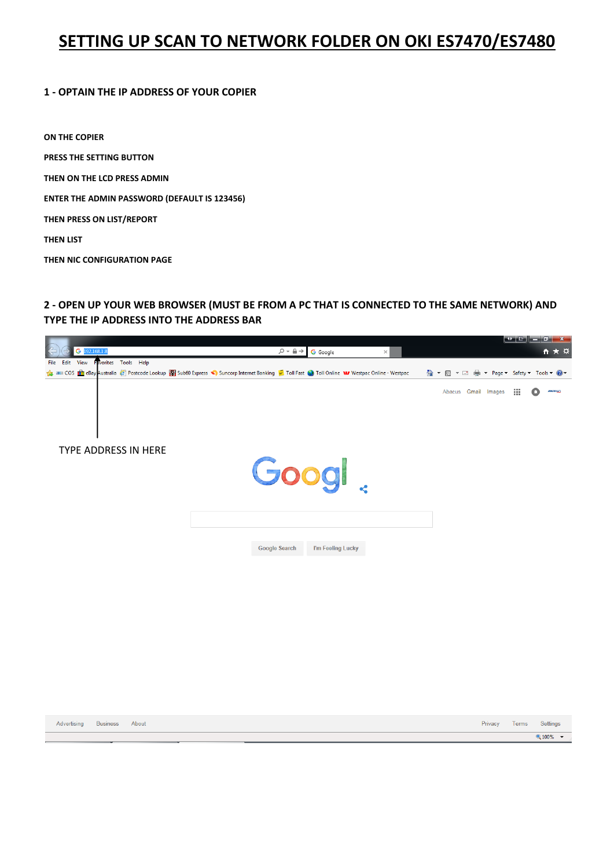# **SETTING UP SCAN TO NETWORK FOLDER ON OKI ES7470/ES7480**

### **1 - OPTAIN THE IP ADDRESS OF YOUR COPIER**

**ON THE COPIER PRESS THE SETTING BUTTON THEN ON THE LCD PRESS ADMIN ENTER THE ADMIN PASSWORD (DEFAULT IS 123456) THEN PRESS ON LIST/REPORT THEN LIST THEN NIC CONFIGURATION PAGE**

**2 - OPEN UP YOUR WEB BROWSER (MUST BE FROM A PC THAT IS CONNECTED TO THE SAME NETWORK) AND TYPE THE IP ADDRESS INTO THE ADDRESS BAR**

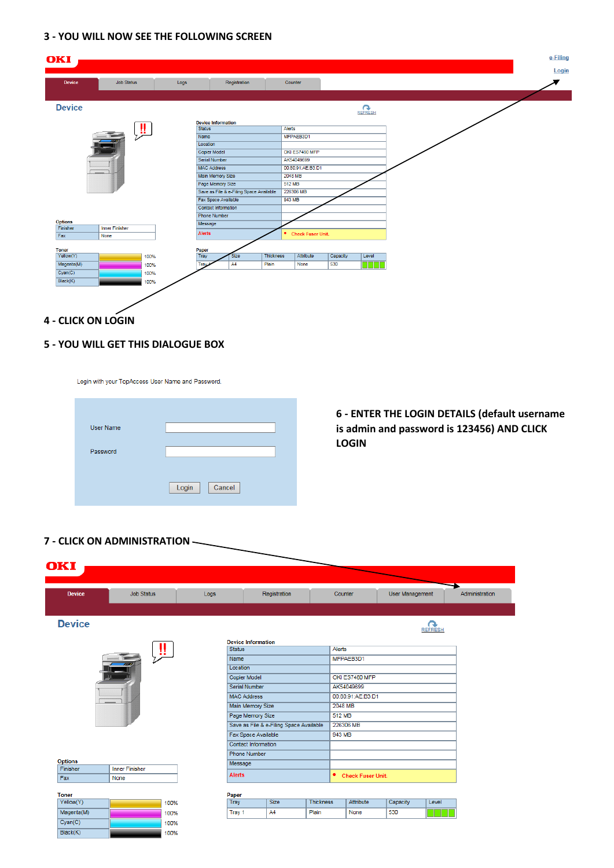## **3 - YOU WILL NOW SEE THE FOLLOWING SCREEN**

| OKI             |                       |      |                                            |                                         |                  |         |                          |          |                   |  |  |  | e-Filing<br>Login |
|-----------------|-----------------------|------|--------------------------------------------|-----------------------------------------|------------------|---------|--------------------------|----------|-------------------|--|--|--|-------------------|
| <b>Device</b>   | <b>Job Status</b>     | Logs |                                            | Registration                            |                  | Counter |                          |          |                   |  |  |  |                   |
| <b>Device</b>   |                       |      |                                            |                                         |                  |         |                          |          | REFRESH           |  |  |  |                   |
|                 |                       | и.   | <b>Device Information</b><br><b>Status</b> |                                         |                  | Alerts  |                          |          |                   |  |  |  |                   |
|                 |                       |      | Name<br>Location                           |                                         |                  |         | MFPAEB3D1                |          |                   |  |  |  |                   |
|                 |                       |      | <b>Copier Model</b>                        |                                         |                  |         | OKI ES7480 MFP           |          |                   |  |  |  |                   |
|                 |                       |      | Serial Number                              |                                         |                  |         | AK54049699               |          |                   |  |  |  |                   |
|                 |                       |      | <b>MAC Address</b>                         |                                         |                  |         | 00:80:91:AE:B3:D1        |          |                   |  |  |  |                   |
|                 |                       |      | <b>Main Memory Size</b>                    |                                         |                  | 2048 MB |                          |          |                   |  |  |  |                   |
|                 |                       |      | Page Memory Size                           |                                         |                  | 512 MB  |                          |          |                   |  |  |  |                   |
|                 |                       |      |                                            | Save as File & e-Filing Space Available |                  |         | 226306 MB                |          |                   |  |  |  |                   |
|                 |                       |      | Fax Space Available                        |                                         |                  | 943 MB  |                          |          |                   |  |  |  |                   |
|                 |                       |      | Contact Information                        |                                         |                  |         |                          |          |                   |  |  |  |                   |
|                 |                       |      | <b>Phone Number</b>                        |                                         |                  |         |                          |          |                   |  |  |  |                   |
| <b>Options</b>  |                       |      | Message                                    |                                         |                  |         |                          |          |                   |  |  |  |                   |
| Finisher<br>Fax | <b>Inner Finisher</b> |      | Alerts                                     |                                         |                  | ٠       | <b>Check Fuser Unit.</b> |          |                   |  |  |  |                   |
|                 | None                  |      |                                            |                                         |                  |         |                          |          |                   |  |  |  |                   |
| <b>Toner</b>    |                       |      | Paper                                      |                                         |                  |         |                          |          |                   |  |  |  |                   |
| Yellow(Y)       |                       | 100% | Tray                                       | <b>Size</b>                             | <b>Thickness</b> |         | Attribute                | Capacity | Level             |  |  |  |                   |
| Magenta(M)      |                       | 100% | Tray:                                      | A4                                      | Plain            |         | None                     | 530      | <b>TELEVISION</b> |  |  |  |                   |
| Cyan(C)         |                       | 100% |                                            |                                         |                  |         |                          |          |                   |  |  |  |                   |
| Black(K)        |                       | 100% |                                            |                                         |                  |         |                          |          |                   |  |  |  |                   |
|                 |                       |      |                                            |                                         |                  |         |                          |          |                   |  |  |  |                   |
|                 |                       |      |                                            |                                         |                  |         |                          |          |                   |  |  |  |                   |
|                 |                       |      |                                            |                                         |                  |         |                          |          |                   |  |  |  |                   |

**4 - CLICK ON LOGIN**

## **5 - YOU WILL GET THIS DIALOGUE BOX**

Login with your TopAccess User Name and Password.

| User Name |                 |
|-----------|-----------------|
| Password  |                 |
|           | Login<br>Cancel |
|           |                 |

**6 - ENTER THE LOGIN DETAILS (default username is admin and password is 123456) AND CLICK LOGIN**

### **7 - CLICK ON ADMINISTRATION**

| OKI            |                       |               |                                         |                  |                     |                   |                        |                      |                |
|----------------|-----------------------|---------------|-----------------------------------------|------------------|---------------------|-------------------|------------------------|----------------------|----------------|
| <b>Device</b>  | <b>Job Status</b>     | Logs          | Registration                            |                  | Counter             |                   | <b>User Management</b> |                      | Administration |
|                |                       |               |                                         |                  |                     |                   |                        |                      |                |
| <b>Device</b>  |                       |               |                                         |                  |                     |                   |                        | rэ<br><b>REFRESH</b> |                |
|                |                       |               | <b>Device Information</b>               |                  |                     |                   |                        |                      |                |
|                | -99                   | <b>Status</b> |                                         |                  | Alerts              |                   |                        |                      |                |
|                |                       | Name          |                                         |                  |                     | MFPAEB3D1         |                        |                      |                |
|                |                       | Location      |                                         |                  |                     |                   |                        |                      |                |
|                |                       |               | <b>Copier Model</b>                     |                  |                     | OKI ES7480 MFP    |                        |                      |                |
|                |                       |               | <b>Serial Number</b>                    |                  |                     | AK54049699        |                        |                      |                |
|                |                       |               | <b>MAC Address</b>                      |                  |                     | 00:80:91:AE:B3:D1 |                        |                      |                |
|                |                       |               | Main Memory Size                        |                  | 2048 MB             |                   |                        |                      |                |
|                |                       |               | Page Memory Size                        |                  | 512 MB              |                   |                        |                      |                |
|                |                       |               | Save as File & e-Filing Space Available |                  |                     | 226306 MB         |                        |                      |                |
|                |                       |               | Fax Space Available                     |                  | 943 MB              |                   |                        |                      |                |
|                |                       |               | <b>Contact Information</b>              |                  |                     |                   |                        |                      |                |
|                |                       |               | <b>Phone Number</b>                     |                  |                     |                   |                        |                      |                |
| <b>Options</b> |                       | Message       |                                         |                  |                     |                   |                        |                      |                |
| Finisher       | <b>Inner Finisher</b> | <b>Alerts</b> |                                         |                  | • Check Fuser Unit. |                   |                        |                      |                |
| Fax            | None                  |               |                                         |                  |                     |                   |                        |                      |                |
| <b>Toner</b>   |                       | Paper         |                                         |                  |                     |                   |                        |                      |                |
| Yellow(Y)      | 100%                  | Tray          | Size                                    | <b>Thickness</b> |                     | Attribute         | Capacity               | Level                |                |
| Magenta(M)     | 100%                  | Tray 1        | A4                                      | Plain            |                     | None              | 530                    |                      |                |
| Cyan(C)        | 100%                  |               |                                         |                  |                     |                   |                        |                      |                |
| Black(K)       | 100%                  |               |                                         |                  |                     |                   |                        |                      |                |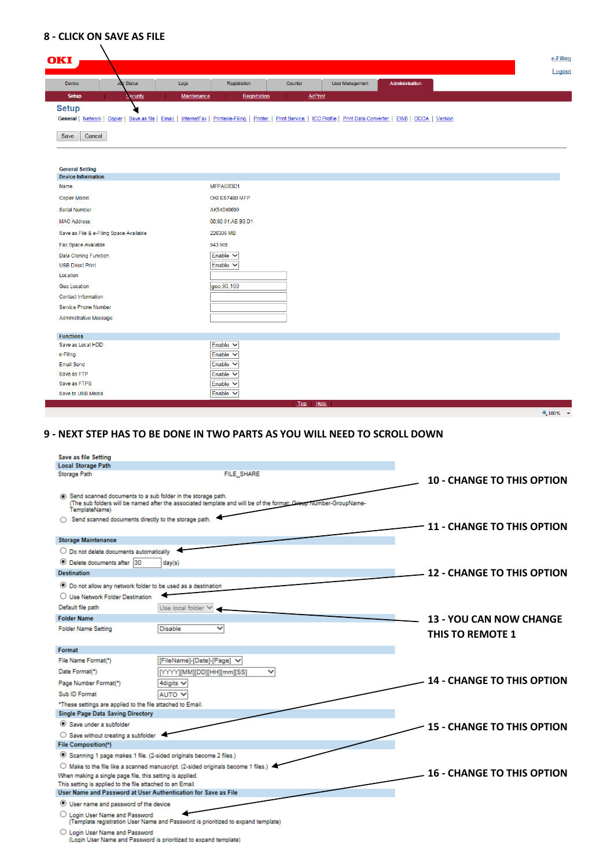## **8 - CLICK ON SAVE AS FILE**

| OKI                                                 |                                                   |             |                             |         |                                                    |                             | e-Filing<br>Logout |
|-----------------------------------------------------|---------------------------------------------------|-------------|-----------------------------|---------|----------------------------------------------------|-----------------------------|--------------------|
| Device                                              | <b>Job Status</b>                                 | Logs        | Registration                | Counter | <b>User Management</b>                             | Administration              |                    |
| <b>Setup</b>                                        | Security                                          | Maintenance | Registration                |         | <b>AirPrint</b>                                    |                             |                    |
| <b>Setup</b><br>Save<br>Cancel                      | General   Network   Copier   Save as file   Email | InternetFax | Printer/e-Filing<br>Printer |         | Print Service   ICC Profile   Print Data Converter | <b>EWB</b>   ODCA   Version |                    |
| <b>General Setting</b><br><b>Device Information</b> |                                                   |             |                             |         |                                                    |                             |                    |
| Name                                                |                                                   |             | MFPAEB3D1                   |         |                                                    |                             |                    |
| <b>Copier Model</b>                                 |                                                   |             | OKI ES7480 MFP              |         |                                                    |                             |                    |
| <b>Serial Number</b>                                |                                                   |             | AK54049699                  |         |                                                    |                             |                    |
| <b>MAC Address</b>                                  |                                                   |             | 00:80:91:AE:B3:D1           |         |                                                    |                             |                    |
|                                                     | Save as File & e-Filing Space Available           |             | 226306 MB                   |         |                                                    |                             |                    |
| Fax Space Available                                 |                                                   |             | 943 MB                      |         |                                                    |                             |                    |
| <b>Data Cloning Function</b>                        |                                                   |             | Enable $\vee$               |         |                                                    |                             |                    |
| <b>USB Direct Print</b>                             |                                                   |             | Enable V                    |         |                                                    |                             |                    |
| Location                                            |                                                   |             |                             |         |                                                    |                             |                    |
| Geo Location                                        |                                                   |             | geo:90,180                  |         |                                                    |                             |                    |
| <b>Contact Information</b>                          |                                                   |             |                             |         |                                                    |                             |                    |
| Service Phone Number                                |                                                   |             |                             |         |                                                    |                             |                    |
| Administrative Message                              |                                                   |             |                             |         |                                                    |                             |                    |
| <b>Functions</b>                                    |                                                   |             |                             |         |                                                    |                             |                    |
| Save as Local HDD                                   |                                                   |             | Enable V                    |         |                                                    |                             |                    |
| e-Filing                                            |                                                   |             | Enable V                    |         |                                                    |                             |                    |
| Email Send                                          |                                                   |             | Enable $\vee$               |         |                                                    |                             |                    |
| Save as FTP                                         |                                                   |             | Enable V                    |         |                                                    |                             |                    |
| Save as FTPS                                        |                                                   |             | Enable V                    |         |                                                    |                             |                    |
| Save to USB Media                                   |                                                   |             | Enable V                    |         |                                                    |                             |                    |
|                                                     |                                                   |             |                             | Top     | <b>Help</b>                                        |                             |                    |
|                                                     |                                                   |             |                             |         |                                                    |                             | ● 100% ▼           |

## **9 - NEXT STEP HAS TO BE DONE IN TWO PARTS AS YOU WILL NEED TO SCROLL DOWN**

| Save as file Setting                                                                                                        |                                                                                                                 |                                   |
|-----------------------------------------------------------------------------------------------------------------------------|-----------------------------------------------------------------------------------------------------------------|-----------------------------------|
| <b>Local Storage Path</b>                                                                                                   |                                                                                                                 |                                   |
| <b>Storage Path</b>                                                                                                         | <b>FILE SHARE</b>                                                                                               | <b>10 - CHANGE TO THIS OPTION</b> |
| Send scanned documents to a sub folder in the storage path.<br>TemplateName)                                                | (The sub folders will be named after the associated template and will be of the format: Greup Number-GroupName- |                                   |
| Send scanned documents directly to the storage path.                                                                        |                                                                                                                 | <b>11 - CHANGE TO THIS OPTION</b> |
| <b>Storage Maintenance</b>                                                                                                  |                                                                                                                 |                                   |
| $\bigcirc$ Do not delete documents automatically                                                                            |                                                                                                                 |                                   |
| Delete documents after 30                                                                                                   | day(s)                                                                                                          |                                   |
| <b>Destination</b>                                                                                                          |                                                                                                                 | <b>12 - CHANGE TO THIS OPTION</b> |
| <b>E</b> Do not allow any network folder to be used as a destination                                                        |                                                                                                                 |                                   |
| O Use Network Folder Destination                                                                                            |                                                                                                                 |                                   |
| Default file path                                                                                                           | Use local folder V                                                                                              |                                   |
| <b>Folder Name</b>                                                                                                          |                                                                                                                 | <b>13 - YOU CAN NOW CHANGE</b>    |
| <b>Folder Name Setting</b>                                                                                                  | <b>Disable</b><br>$\check{ }$                                                                                   | THIS TO REMOTE 1                  |
| Format                                                                                                                      |                                                                                                                 |                                   |
| File Name Format(*)                                                                                                         | [FileName]-[Date]-[Page] V                                                                                      |                                   |
| Date Format(")                                                                                                              | [YYYY][MM][DD][HH][mm][SS]                                                                                      |                                   |
| Page Number Format(*)                                                                                                       | 4digits $\vee$                                                                                                  | <b>14 - CHANGE TO THIS OPTION</b> |
| Sub ID Format                                                                                                               | AUTO V                                                                                                          |                                   |
| *These settings are applied to the file attached to Email.                                                                  |                                                                                                                 |                                   |
| <b>Single Page Data Saving Directory</b>                                                                                    |                                                                                                                 |                                   |
| Save under a subfolder                                                                                                      |                                                                                                                 | <b>15 - CHANGE TO THIS OPTION</b> |
| $\bigcirc$ Save without creating a subfolder $\blacktriangleleft$                                                           |                                                                                                                 |                                   |
| <b>File Composition(*)</b>                                                                                                  |                                                                                                                 |                                   |
| Scanning 1 page makes 1 file. (2-sided originals become 2 files.)                                                           |                                                                                                                 |                                   |
|                                                                                                                             | $\bigcirc$ Make to the file like a scanned manuscript. (2-sided originals become 1 files.)                      |                                   |
| When making a single page file, this setting is applied.                                                                    |                                                                                                                 | <b>16 - CHANGE TO THIS OPTION</b> |
| This setting is applied to the file attached to an Email.<br>User Name and Password at User Authentication for Save as File |                                                                                                                 |                                   |
|                                                                                                                             |                                                                                                                 |                                   |
| User name and password of the device                                                                                        |                                                                                                                 |                                   |
| O Login User Name and Password                                                                                              | (Template registration User Name and Password is prioritized to expand template)                                |                                   |
| O Login User Name and Password                                                                                              | (Login User Name and Password is prioritized to expand template)                                                |                                   |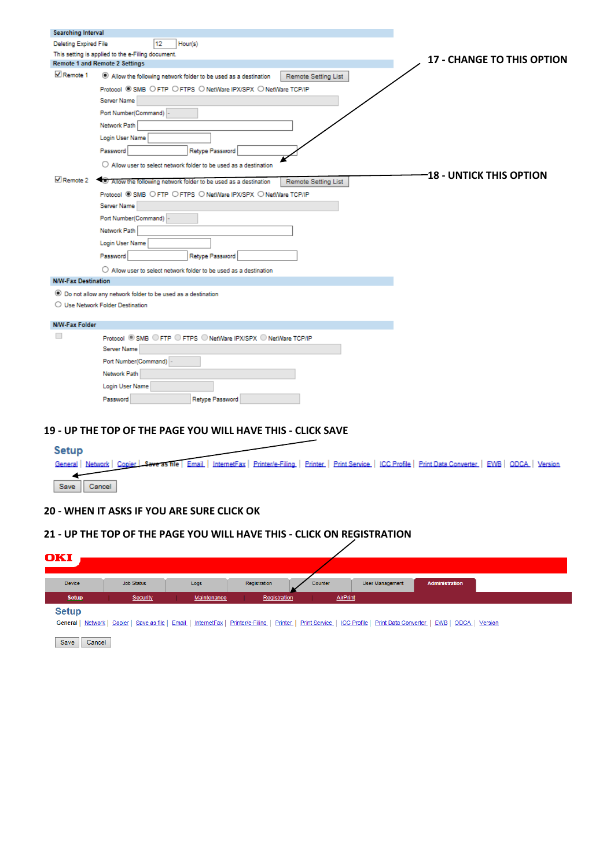| <b>Searching Interval</b>      |                                                                                         |                                   |
|--------------------------------|-----------------------------------------------------------------------------------------|-----------------------------------|
| <b>Deleting Expired File</b>   | 12<br>Hour(s)                                                                           |                                   |
|                                | This setting is applied to the e-Filing document.                                       | <b>17 - CHANGE TO THIS OPTION</b> |
|                                | <b>Remote 1 and Remote 2 Settings</b>                                                   |                                   |
| $\sqrt{ }$ Remote 1            | Allow the following network folder to be used as a destination<br>Remote Setting List   |                                   |
|                                | Protocol ® SMB O FTP O FTPS O NetWare IPX/SPX O NetWare TCP/IP                          |                                   |
|                                | Server Name                                                                             |                                   |
|                                | Port Number(Command) -                                                                  |                                   |
|                                | Network Path                                                                            |                                   |
|                                | Login User Name                                                                         |                                   |
|                                | Retype Password<br>Password                                                             |                                   |
|                                | $\bigcirc$ Allow user to select network folder to be used as a destination              |                                   |
| $\blacktriangleright$ Remote 2 | . Allow the following network folder to be used as a destination<br>Remote Setting List | <b>-18 - UNTICK THIS OPTION</b>   |
|                                | Protocol SMB O FTP O FTPS O NetWare IPX/SPX O NetWare TCP/IP                            |                                   |
|                                | Server Name                                                                             |                                   |
|                                | Port Number(Command) -                                                                  |                                   |
|                                |                                                                                         |                                   |
|                                | Network Path                                                                            |                                   |
|                                | Login User Name                                                                         |                                   |
|                                | Retype Password<br>Password                                                             |                                   |
|                                | $\bigcirc$ Allow user to select network folder to be used as a destination              |                                   |
| <b>N/W-Fax Destination</b>     |                                                                                         |                                   |
|                                | ● Do not allow any network folder to be used as a destination                           |                                   |
|                                | ○ Use Network Folder Destination                                                        |                                   |
| <b>N/W-Fax Folder</b>          |                                                                                         |                                   |
|                                | Protocol . SMB O FTP O FTPS O NetWare IPX/SPX O NetWare TCP/IP                          |                                   |
|                                | <b>Server Name</b>                                                                      |                                   |
|                                | Port Number(Command) -                                                                  |                                   |
|                                | Network Path                                                                            |                                   |
|                                | Login User Name                                                                         |                                   |
|                                |                                                                                         |                                   |
|                                | Retype Password<br>Password                                                             |                                   |

## **19 - UP THE TOP OF THE PAGE YOU WILL HAVE THIS - CLICK SAVE**

| Setup                                                                                                                                                                    |  |  |
|--------------------------------------------------------------------------------------------------------------------------------------------------------------------------|--|--|
| General   Network   Copjer   Save as file   Email   InternetFax   Printer/e-Filing   Printer   Print Service   ICC Profile   Print Data Converter   EWB   ODCA   Version |  |  |
| Save Cancel                                                                                                                                                              |  |  |
|                                                                                                                                                                          |  |  |

## **20 - WHEN IT ASKS IF YOU ARE SURE CLICK OK**

## **21 - UP THE TOP OF THE PAGE YOU WILL HAVE THIS - CLICK ON REGISTRATION**

| OKI          |            |             |              |                 |                                                                                                                                                                |                       |  |
|--------------|------------|-------------|--------------|-----------------|----------------------------------------------------------------------------------------------------------------------------------------------------------------|-----------------------|--|
| Device       | Job Status | Logs        | Registration | Counter         | User Management                                                                                                                                                | <b>Administration</b> |  |
| <b>Setup</b> | Security   | Maintenance | Registration | <b>AirPrint</b> |                                                                                                                                                                |                       |  |
| <b>Setup</b> |            |             |              |                 | General   Network   Copier   Save as file   Email   InternetFax   Printer/e-Filing   Print Service   ICC Profile   Print Data Converter   EWB   ODCA   Version |                       |  |

Save Cancel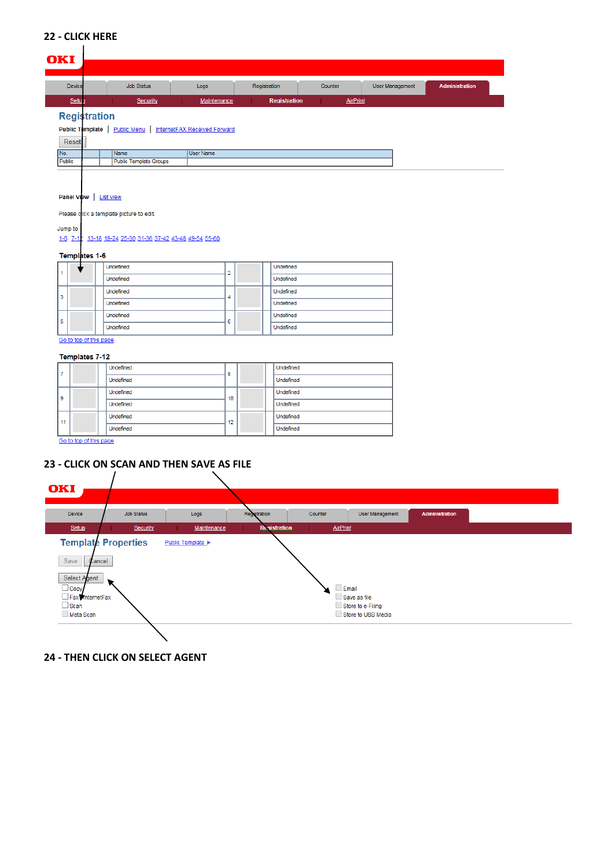## **22 - CLICK HERE**

#### **OKI** Job Status Devic Logs Registration Counter | User Management Administration Setu Security Maintenance Registration **AirPrint Registration** Public Template | Public Menu | InternetFAX Received Forward Reset No.<br>Public Name<br>Public Template Groups User Name Panel View | List view Please click a template picture to edit. Jump to 1-6 7-12 13-18 19-24 25-30 31-36 37-42 43-48 49-54 55-60

#### Templates 1-6

|    | Undefined | ÷ |  | Undefined |
|----|-----------|---|--|-----------|
|    | Undefined |   |  | Undefined |
| 13 | Undefined | а |  | Undefined |
|    | Undefined |   |  | Undefined |
| 5  | Undefined | 6 |  | Undefined |
|    | Undefined |   |  | Undefined |

Go to top of this page

### Templates 7-12

Go to top of this page

## **23 - CLICK ON SCAN AND THEN SAVE AS FILE**



**24 - THEN CLICK ON SELECT AGENT**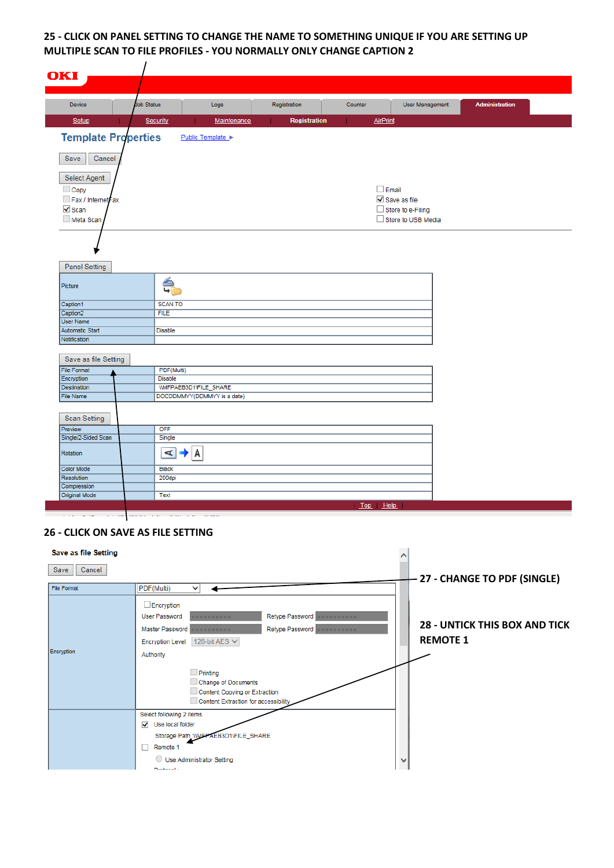## **25 - CLICK ON PANEL SETTING TO CHANGE THE NAME TO SOMETHING UNIQUE IF YOU ARE SETTING UP MULTIPLE SCAN TO FILE PROFILES - YOU NORMALLY ONLY CHANGE CAPTION 2**

| <b>User Management</b><br><b>Administration</b><br>Device<br>Job Status<br>Logs<br>Registration<br>Counter<br>Setup<br>Maintenance<br><b>Registration</b><br><b>AirPrint</b><br>Security<br>Public Template<br>Save<br>Cancel<br>Select Agent<br>$\Box$ Email<br>$\Box$ Copy<br>$\sqrt{\phantom{a}}$ Save as file<br>Fax / InternetFax<br>$\sqrt{\ }$ Scan<br>Store to e-Filing<br>Store to USB Media<br>Meta Scan<br><b>Panel Setting</b><br>슧<br><b>SCAN TO</b><br><b>FILE</b><br><b>Disable</b><br>Save as file Setting<br>PDF(Multi)<br><b>Disable</b><br>WIFPAEB3D1\FILE_SHARE<br>DOCDDMMYY(DDMMYY is a date)<br><b>Scan Setting</b><br>OFF<br>Single<br>A<br>A<br><b>Black</b><br>200dpi<br>Text | OKI                                       |  |          |  |
|--------------------------------------------------------------------------------------------------------------------------------------------------------------------------------------------------------------------------------------------------------------------------------------------------------------------------------------------------------------------------------------------------------------------------------------------------------------------------------------------------------------------------------------------------------------------------------------------------------------------------------------------------------------------------------------------------------|-------------------------------------------|--|----------|--|
| Picture<br>Caption1<br>Caption <sub>2</sub><br><b>User Name</b><br>Automatic Start<br><b>File Format</b><br>Encryption<br><b>Destination</b><br><b>File Name</b><br>Preview<br>Single/2-Sided Scan<br>Rotation<br><b>Color Mode</b><br>Resolution<br>Compression<br><b>Original Mode</b>                                                                                                                                                                                                                                                                                                                                                                                                               |                                           |  |          |  |
| <b>Template Properties</b><br>Notification                                                                                                                                                                                                                                                                                                                                                                                                                                                                                                                                                                                                                                                             |                                           |  |          |  |
|                                                                                                                                                                                                                                                                                                                                                                                                                                                                                                                                                                                                                                                                                                        |                                           |  |          |  |
|                                                                                                                                                                                                                                                                                                                                                                                                                                                                                                                                                                                                                                                                                                        |                                           |  |          |  |
|                                                                                                                                                                                                                                                                                                                                                                                                                                                                                                                                                                                                                                                                                                        |                                           |  |          |  |
|                                                                                                                                                                                                                                                                                                                                                                                                                                                                                                                                                                                                                                                                                                        |                                           |  |          |  |
|                                                                                                                                                                                                                                                                                                                                                                                                                                                                                                                                                                                                                                                                                                        |                                           |  |          |  |
|                                                                                                                                                                                                                                                                                                                                                                                                                                                                                                                                                                                                                                                                                                        |                                           |  |          |  |
|                                                                                                                                                                                                                                                                                                                                                                                                                                                                                                                                                                                                                                                                                                        |                                           |  |          |  |
|                                                                                                                                                                                                                                                                                                                                                                                                                                                                                                                                                                                                                                                                                                        |                                           |  |          |  |
|                                                                                                                                                                                                                                                                                                                                                                                                                                                                                                                                                                                                                                                                                                        |                                           |  |          |  |
|                                                                                                                                                                                                                                                                                                                                                                                                                                                                                                                                                                                                                                                                                                        |                                           |  |          |  |
|                                                                                                                                                                                                                                                                                                                                                                                                                                                                                                                                                                                                                                                                                                        |                                           |  |          |  |
|                                                                                                                                                                                                                                                                                                                                                                                                                                                                                                                                                                                                                                                                                                        |                                           |  |          |  |
|                                                                                                                                                                                                                                                                                                                                                                                                                                                                                                                                                                                                                                                                                                        |                                           |  |          |  |
|                                                                                                                                                                                                                                                                                                                                                                                                                                                                                                                                                                                                                                                                                                        |                                           |  |          |  |
|                                                                                                                                                                                                                                                                                                                                                                                                                                                                                                                                                                                                                                                                                                        |                                           |  |          |  |
|                                                                                                                                                                                                                                                                                                                                                                                                                                                                                                                                                                                                                                                                                                        |                                           |  |          |  |
|                                                                                                                                                                                                                                                                                                                                                                                                                                                                                                                                                                                                                                                                                                        |                                           |  | Top Help |  |
|                                                                                                                                                                                                                                                                                                                                                                                                                                                                                                                                                                                                                                                                                                        | <b>26 - CLICK ON SAVE AS FILE SETTING</b> |  |          |  |

| <b>Save as file Setting</b> |                                                                                                                                                                                                                                                                                                                                 |                                                         |
|-----------------------------|---------------------------------------------------------------------------------------------------------------------------------------------------------------------------------------------------------------------------------------------------------------------------------------------------------------------------------|---------------------------------------------------------|
| Cancel<br>Save              |                                                                                                                                                                                                                                                                                                                                 | - 27 - CHANGE TO PDF (SINGLE)                           |
| File Format                 | PDF(Multi)<br>◡                                                                                                                                                                                                                                                                                                                 |                                                         |
| <b>Encryption</b>           | $\Box$ Encryption<br>Retype Password<br><b>User Password</b><br><br><br>Master Password <b>December 1999</b><br>Retype Password <b>December of CASS</b><br>128-bit AES V<br><b>Encryption Level</b><br>Authority<br>$P$ rinting<br>Change of Documents<br>Content Copying or Extraction<br>Content Extraction for accessibility | <b>28 - UNTICK THIS BOX AND TICK</b><br><b>REMOTE 1</b> |
|                             | Select following 2 items<br>V Use local folder<br>Storage Path : WEPAEB3D1\FILE_SHARE<br>Remote 1<br>П<br>Use Administrator Setting<br>Drotonol :                                                                                                                                                                               |                                                         |